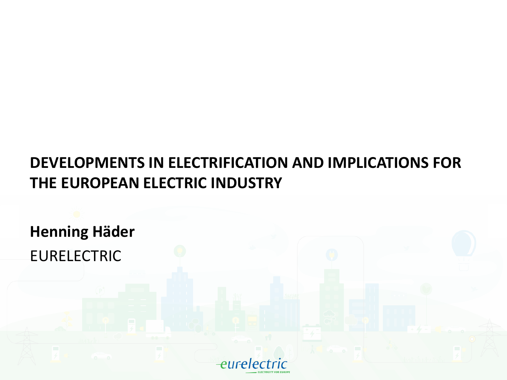#### **DEVELOPMENTS IN ELECTRIFICATION AND IMPLICATIONS FOR THE EUROPEAN ELECTRIC INDUSTRY**

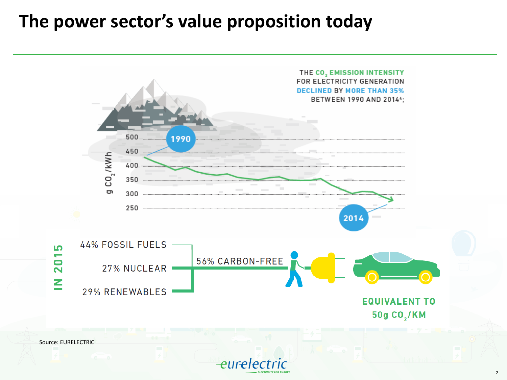#### **The power sector's value proposition today**

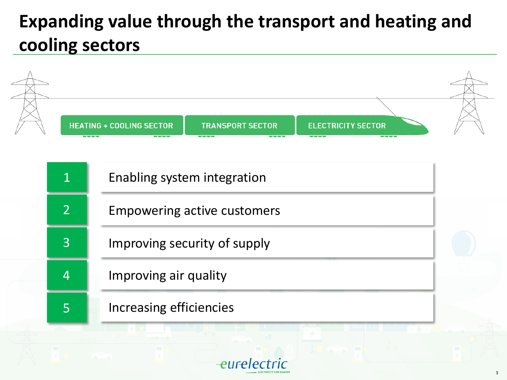# **Expanding value through the transport and heating and cooling sectors**

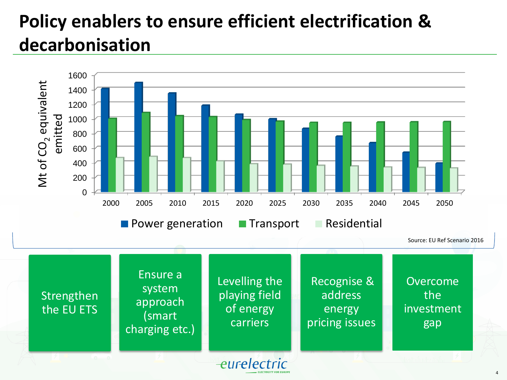# **Policy enablers to ensure efficient electrification & decarbonisation**

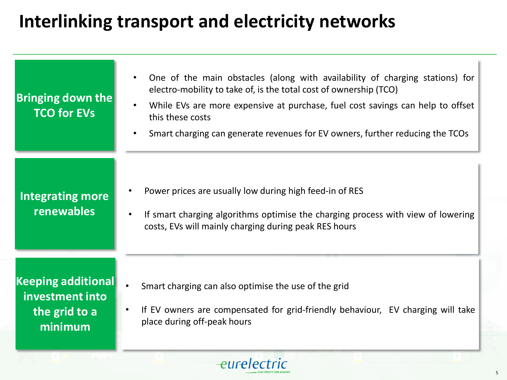### **Interlinking transport and electricity networks**

| <b>Bringing down the</b><br><b>TCO for EVs</b>                           | One of the main obstacles (along with availability of charging stations) for<br>$\bullet$<br>electro-mobility to take of, is the total cost of ownership (TCO)<br>While EVs are more expensive at purchase, fuel cost savings can help to offset<br>$\bullet$<br>this these costs<br>Smart charging can generate revenues for EV owners, further reducing the TCOs<br>$\bullet$ |
|--------------------------------------------------------------------------|---------------------------------------------------------------------------------------------------------------------------------------------------------------------------------------------------------------------------------------------------------------------------------------------------------------------------------------------------------------------------------|
| <b>Integrating more</b><br>renewables                                    | Power prices are usually low during high feed-in of RES<br>If smart charging algorithms optimise the charging process with view of lowering<br>costs, EVs will mainly charging during peak RES hours                                                                                                                                                                            |
| <b>Keeping additional</b><br>investment into<br>the grid to a<br>minimum | Smart charging can also optimise the use of the grid<br>If EV owners are compensated for grid-friendly behaviour, EV charging will take<br>place during off-peak hours                                                                                                                                                                                                          |

eurelectric